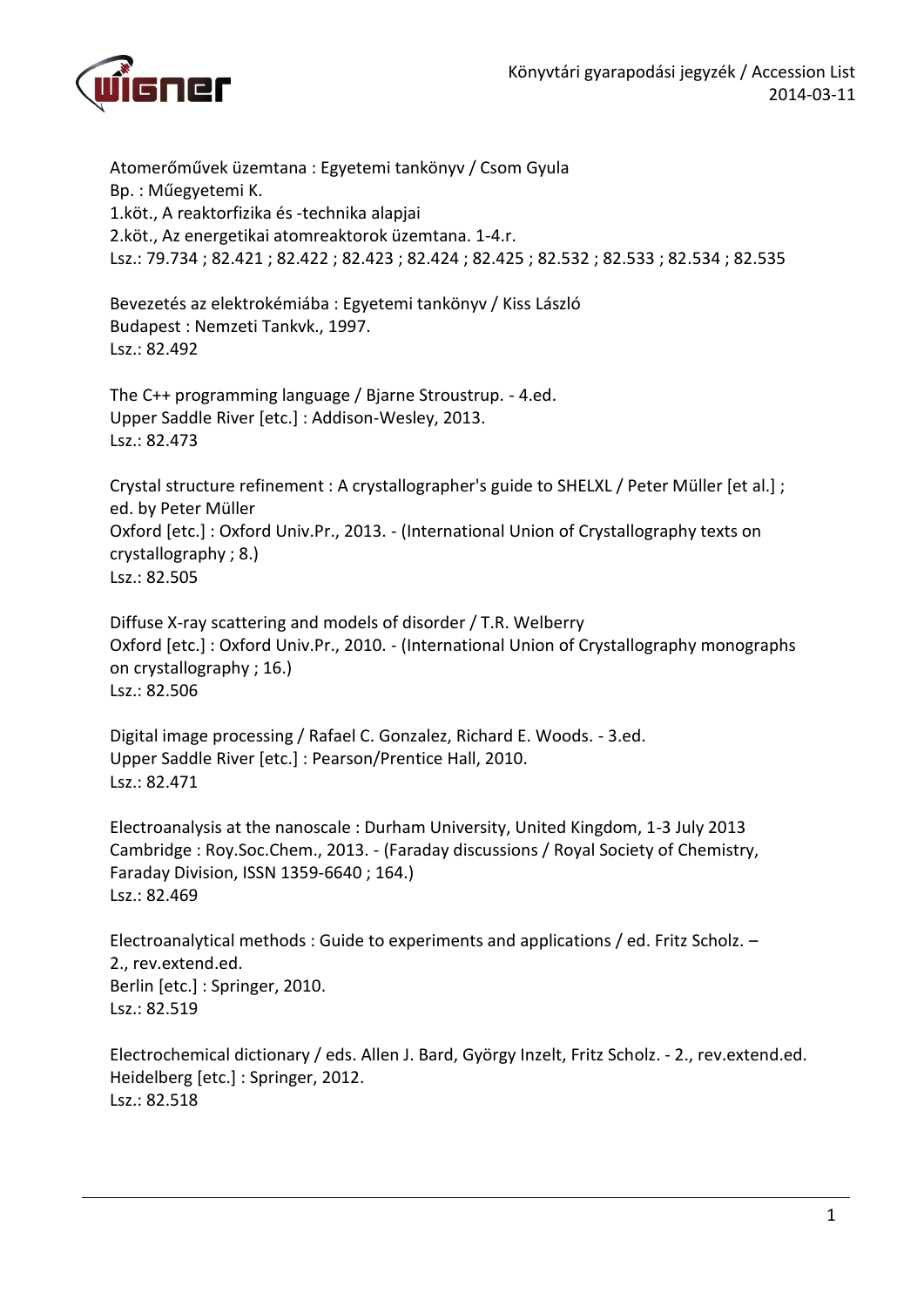

Atomerőművek üzemtana : Egyetemi tankönyv / Csom Gyula Bp. : Műegyetemi K. 1.köt., A reaktorfizika és -technika alapjai 2.köt., Az energetikai atomreaktorok üzemtana. 1-4.r. Lsz.: 79.734 ; 82.421 ; 82.422 ; 82.423 ; 82.424 ; 82.425 ; 82.532 ; 82.533 ; 82.534 ; 82.535

Bevezetés az elektrokémiába : Egyetemi tankönyv / Kiss László Budapest : Nemzeti Tankvk., 1997. Lsz.: 82.492

The C++ programming language / Bjarne Stroustrup. - 4.ed. Upper Saddle River [etc.] : Addison-Wesley, 2013. Lsz.: 82.473

Crystal structure refinement : A crystallographer's guide to SHELXL / Peter Müller [et al.] ; ed. by Peter Müller Oxford [etc.] : Oxford Univ.Pr., 2013. - (International Union of Crystallography texts on crystallography ; 8.) Lsz.: 82.505

Diffuse X-ray scattering and models of disorder / T.R. Welberry Oxford [etc.] : Oxford Univ.Pr., 2010. - (International Union of Crystallography monographs on crystallography ; 16.) Lsz.: 82.506

Digital image processing / Rafael C. Gonzalez, Richard E. Woods. - 3.ed. Upper Saddle River [etc.] : Pearson/Prentice Hall, 2010. Lsz.: 82.471

Electroanalysis at the nanoscale : Durham University, United Kingdom, 1-3 July 2013 Cambridge : Roy.Soc.Chem., 2013. - (Faraday discussions / Royal Society of Chemistry, Faraday Division, ISSN 1359-6640 ; 164.) Lsz.: 82.469

Electroanalytical methods : Guide to experiments and applications / ed. Fritz Scholz. – 2., rev.extend.ed. Berlin [etc.] : Springer, 2010. Lsz.: 82.519

Electrochemical dictionary / eds. Allen J. Bard, György Inzelt, Fritz Scholz. - 2., rev.extend.ed. Heidelberg [etc.] : Springer, 2012. Lsz.: 82.518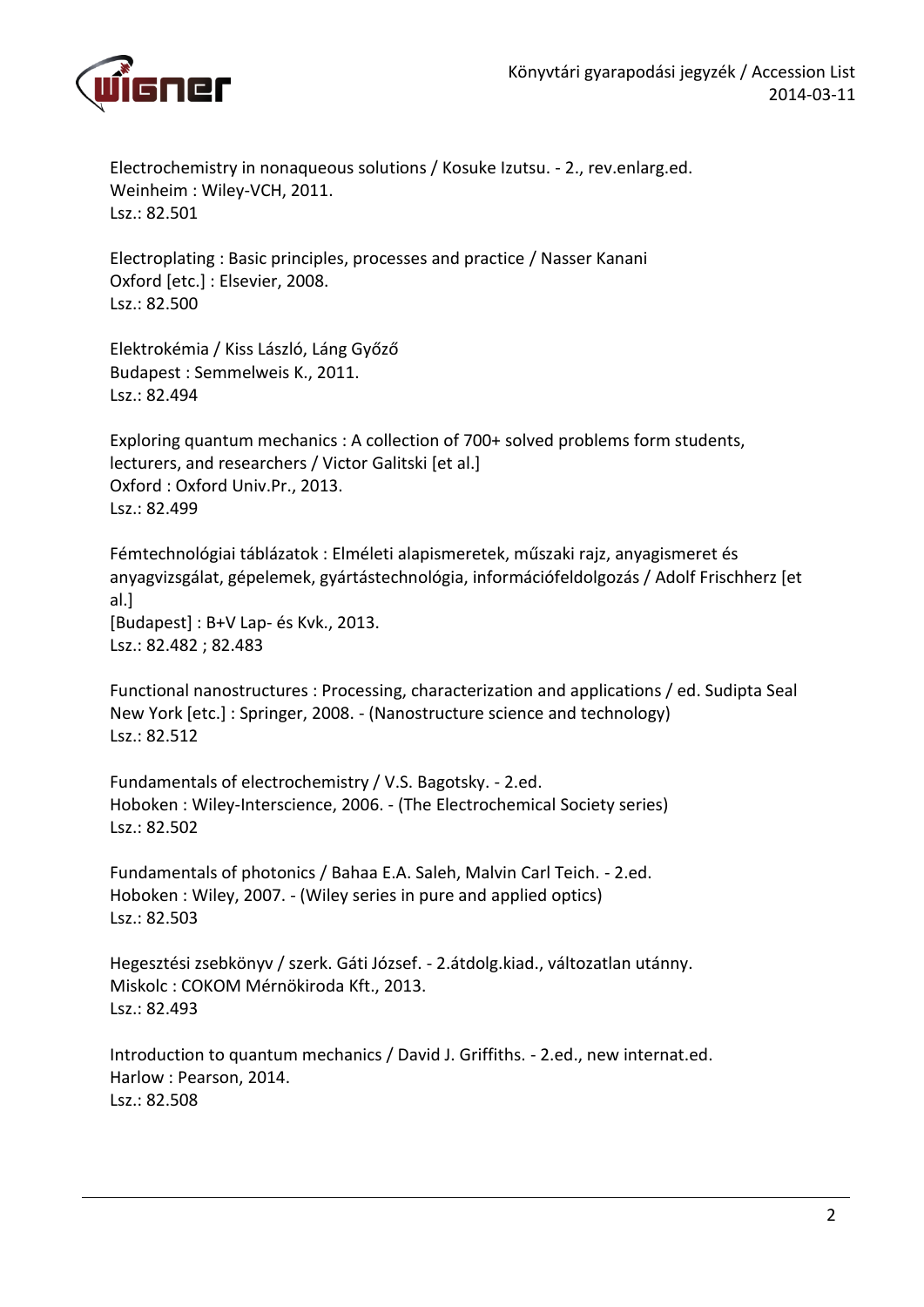

Electrochemistry in nonaqueous solutions / Kosuke Izutsu. - 2., rev.enlarg.ed. Weinheim : Wiley-VCH, 2011. Lsz.: 82.501

Electroplating : Basic principles, processes and practice / Nasser Kanani Oxford [etc.] : Elsevier, 2008. Lsz.: 82.500

Elektrokémia / Kiss László, Láng Győző Budapest : Semmelweis K., 2011. Lsz.: 82.494

Exploring quantum mechanics : A collection of 700+ solved problems form students, lecturers, and researchers / Victor Galitski [et al.] Oxford : Oxford Univ.Pr., 2013. Lsz.: 82.499

Fémtechnológiai táblázatok : Elméleti alapismeretek, műszaki rajz, anyagismeret és anyagvizsgálat, gépelemek, gyártástechnológia, információfeldolgozás / Adolf Frischherz [et al.] [Budapest] : B+V Lap- és Kvk., 2013. Lsz.: 82.482 ; 82.483

Functional nanostructures : Processing, characterization and applications / ed. Sudipta Seal New York [etc.] : Springer, 2008. - (Nanostructure science and technology) Lsz.: 82.512

Fundamentals of electrochemistry / V.S. Bagotsky. - 2.ed. Hoboken : Wiley-Interscience, 2006. - (The Electrochemical Society series) Lsz.: 82.502

Fundamentals of photonics / Bahaa E.A. Saleh, Malvin Carl Teich. - 2.ed. Hoboken : Wiley, 2007. - (Wiley series in pure and applied optics) Lsz.: 82.503

Hegesztési zsebkönyv / szerk. Gáti József. - 2.átdolg.kiad., változatlan utánny. Miskolc : COKOM Mérnökiroda Kft., 2013. Lsz.: 82.493

Introduction to quantum mechanics / David J. Griffiths. - 2.ed., new internat.ed. Harlow : Pearson, 2014. Lsz.: 82.508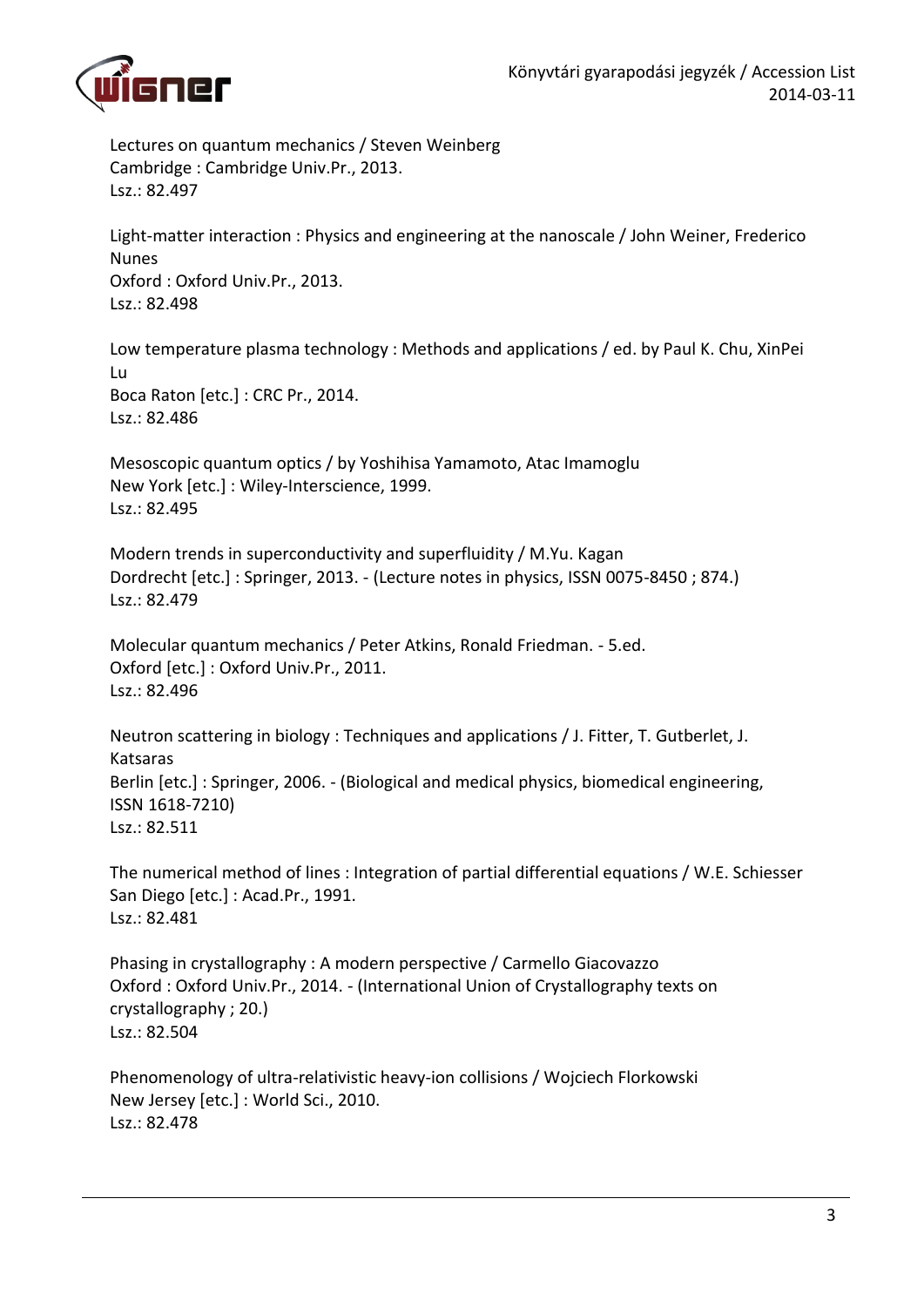

Lectures on quantum mechanics / Steven Weinberg Cambridge : Cambridge Univ.Pr., 2013. Lsz.: 82.497

Light-matter interaction : Physics and engineering at the nanoscale / John Weiner, Frederico Nunes Oxford : Oxford Univ.Pr., 2013. Lsz.: 82.498

Low temperature plasma technology : Methods and applications / ed. by Paul K. Chu, XinPei Lu Boca Raton [etc.] : CRC Pr., 2014. Lsz.: 82.486

Mesoscopic quantum optics / by Yoshihisa Yamamoto, Atac Imamoglu New York [etc.] : Wiley-Interscience, 1999. Lsz.: 82.495

Modern trends in superconductivity and superfluidity / M.Yu. Kagan Dordrecht [etc.] : Springer, 2013. - (Lecture notes in physics, ISSN 0075-8450 ; 874.) Lsz.: 82.479

Molecular quantum mechanics / Peter Atkins, Ronald Friedman. - 5.ed. Oxford [etc.] : Oxford Univ.Pr., 2011. Lsz.: 82.496

Neutron scattering in biology : Techniques and applications / J. Fitter, T. Gutberlet, J. Katsaras Berlin [etc.] : Springer, 2006. - (Biological and medical physics, biomedical engineering, ISSN 1618-7210) Lsz.: 82.511

The numerical method of lines : Integration of partial differential equations / W.E. Schiesser San Diego [etc.] : Acad.Pr., 1991. Lsz.: 82.481

Phasing in crystallography : A modern perspective / Carmello Giacovazzo Oxford : Oxford Univ.Pr., 2014. - (International Union of Crystallography texts on crystallography ; 20.) Lsz.: 82.504

Phenomenology of ultra-relativistic heavy-ion collisions / Wojciech Florkowski New Jersey [etc.] : World Sci., 2010. Lsz.: 82.478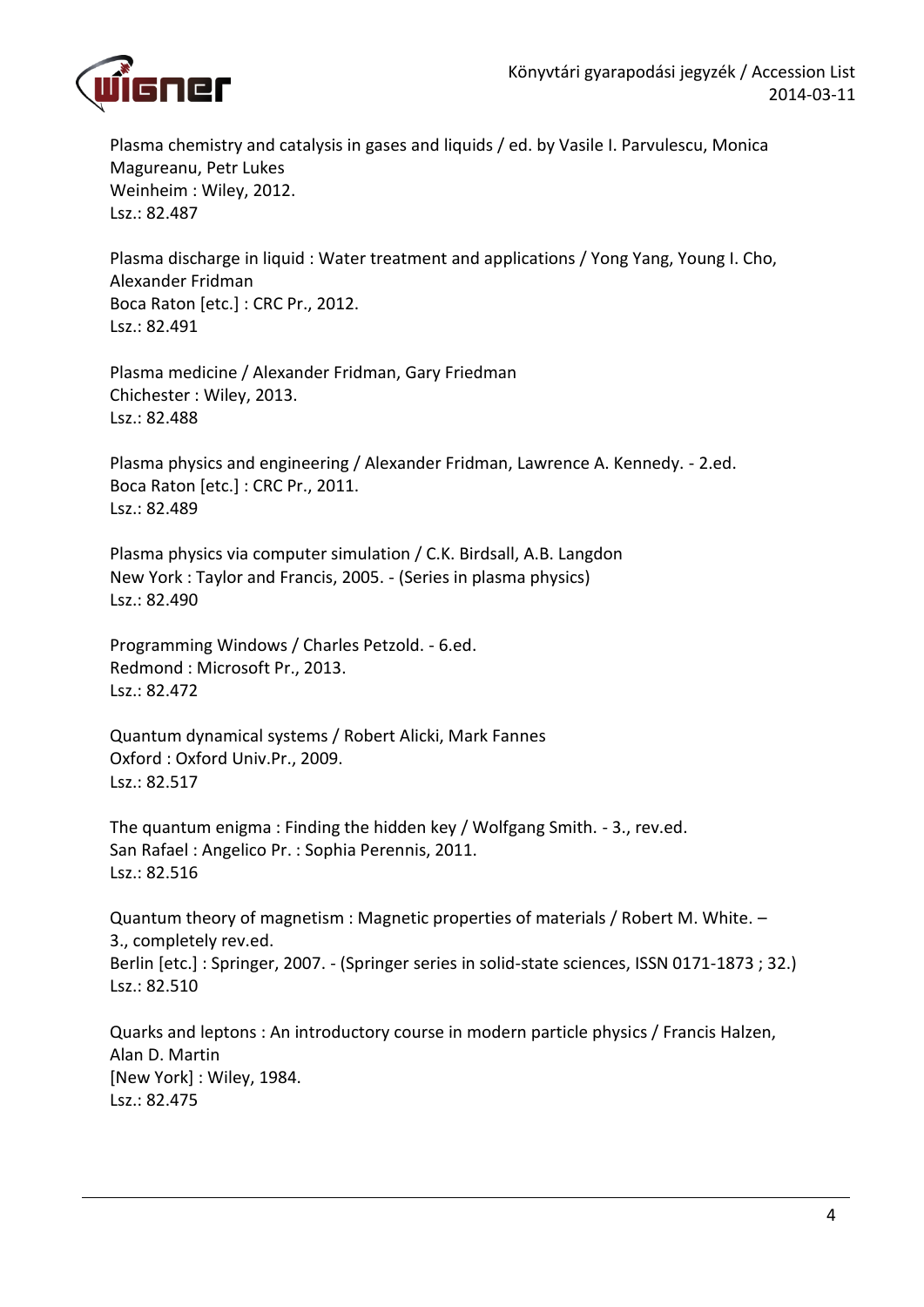

Plasma chemistry and catalysis in gases and liquids / ed. by Vasile I. Parvulescu, Monica Magureanu, Petr Lukes Weinheim : Wiley, 2012. Lsz.: 82.487

Plasma discharge in liquid : Water treatment and applications / Yong Yang, Young I. Cho, Alexander Fridman Boca Raton [etc.] : CRC Pr., 2012. Lsz.: 82.491

Plasma medicine / Alexander Fridman, Gary Friedman Chichester : Wiley, 2013. Lsz.: 82.488

Plasma physics and engineering / Alexander Fridman, Lawrence A. Kennedy. - 2.ed. Boca Raton [etc.] : CRC Pr., 2011. Lsz.: 82.489

Plasma physics via computer simulation / C.K. Birdsall, A.B. Langdon New York : Taylor and Francis, 2005. - (Series in plasma physics) Lsz.: 82.490

Programming Windows / Charles Petzold. - 6.ed. Redmond : Microsoft Pr., 2013. Lsz.: 82.472

Quantum dynamical systems / Robert Alicki, Mark Fannes Oxford : Oxford Univ.Pr., 2009. Lsz.: 82.517

The quantum enigma : Finding the hidden key / Wolfgang Smith. - 3., rev.ed. San Rafael : Angelico Pr. : Sophia Perennis, 2011. Lsz.: 82.516

Quantum theory of magnetism : Magnetic properties of materials / Robert M. White. – 3., completely rev.ed. Berlin [etc.] : Springer, 2007. - (Springer series in solid-state sciences, ISSN 0171-1873 ; 32.) Lsz.: 82.510

Quarks and leptons : An introductory course in modern particle physics / Francis Halzen, Alan D. Martin [New York] : Wiley, 1984. Lsz.: 82.475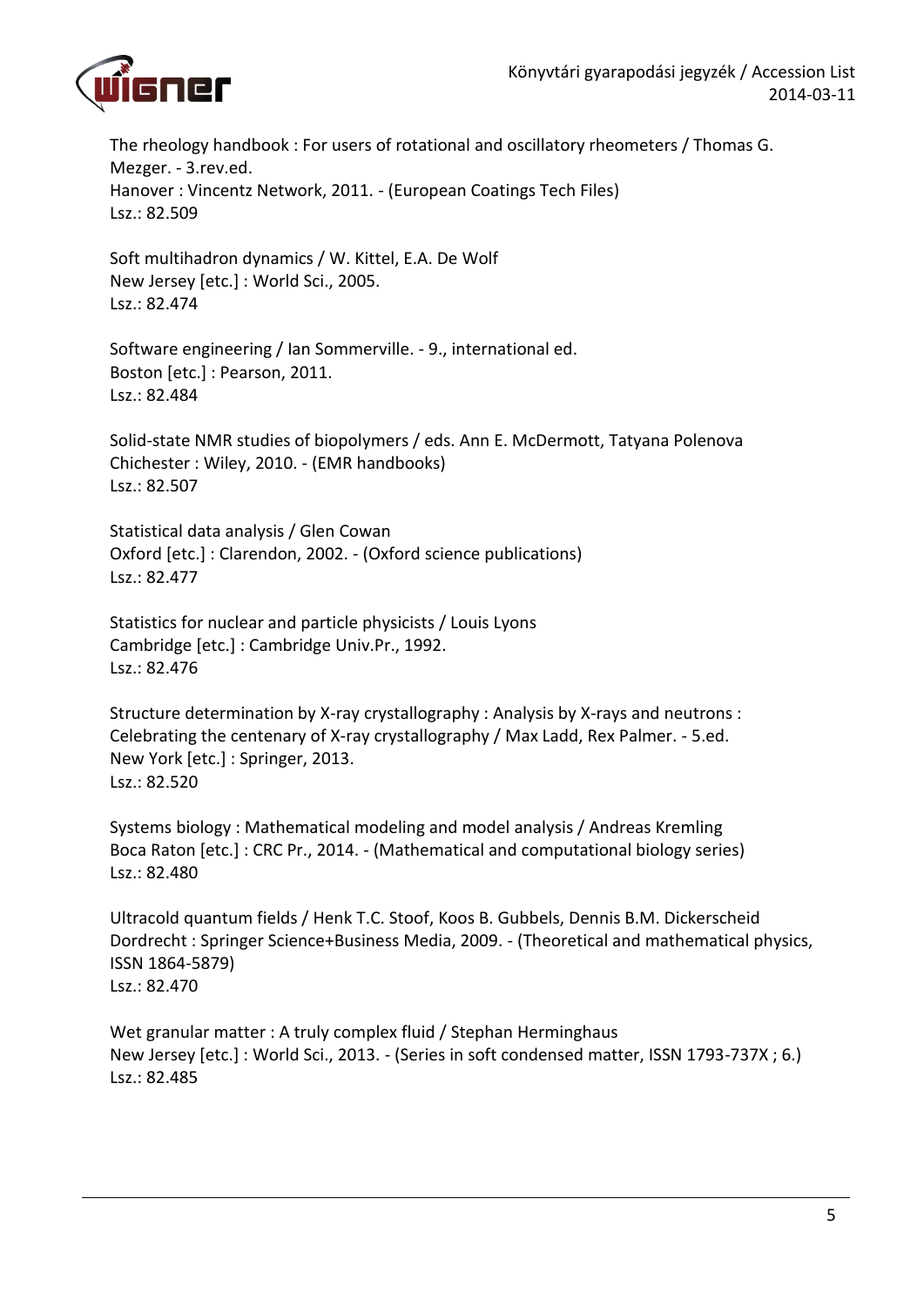

The rheology handbook : For users of rotational and oscillatory rheometers / Thomas G. Mezger. - 3.rev.ed. Hanover : Vincentz Network, 2011. - (European Coatings Tech Files) Lsz.: 82.509

Soft multihadron dynamics / W. Kittel, E.A. De Wolf New Jersey [etc.] : World Sci., 2005. Lsz.: 82.474

Software engineering / Ian Sommerville. - 9., international ed. Boston [etc.] : Pearson, 2011. Lsz.: 82.484

Solid-state NMR studies of biopolymers / eds. Ann E. McDermott, Tatyana Polenova Chichester : Wiley, 2010. - (EMR handbooks) Lsz.: 82.507

Statistical data analysis / Glen Cowan Oxford [etc.] : Clarendon, 2002. - (Oxford science publications) Lsz.: 82.477

Statistics for nuclear and particle physicists / Louis Lyons Cambridge [etc.] : Cambridge Univ.Pr., 1992. Lsz.: 82.476

Structure determination by X-ray crystallography : Analysis by X-rays and neutrons : Celebrating the centenary of X-ray crystallography / Max Ladd, Rex Palmer. - 5.ed. New York [etc.] : Springer, 2013. Lsz.: 82.520

Systems biology : Mathematical modeling and model analysis / Andreas Kremling Boca Raton [etc.] : CRC Pr., 2014. - (Mathematical and computational biology series) Lsz.: 82.480

Ultracold quantum fields / Henk T.C. Stoof, Koos B. Gubbels, Dennis B.M. Dickerscheid Dordrecht : Springer Science+Business Media, 2009. - (Theoretical and mathematical physics, ISSN 1864-5879) Lsz.: 82.470

Wet granular matter : A truly complex fluid / Stephan Herminghaus New Jersey [etc.] : World Sci., 2013. - (Series in soft condensed matter, ISSN 1793-737X ; 6.) Lsz.: 82.485